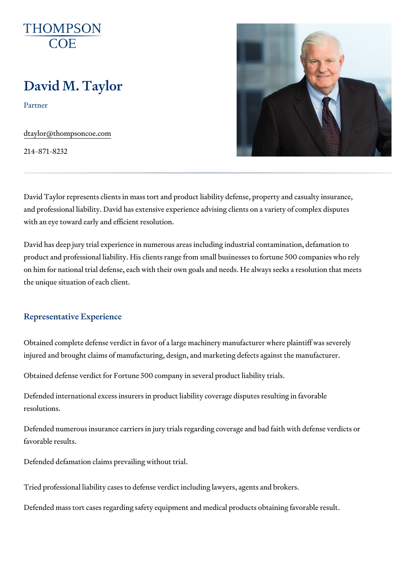# David M. Taylor

Partner

[dtaylor@thompso](mailto:dtaylor@thompsoncoe.com)ncoe.com

214-871-8232

David Taylor represents clients in mass tort and product liability defense, and professional liability. David has extensive experience advising clients with an eye toward early and efficient resolution.

David has deep jury trial experience in numerous areas including industria product and professional liability. His clients range from small businesses on him for national trial defense, each with their own goals and needs. He the unique situation of each client.

### Representative Experience

Obtained complete defense verdict in favor of a large machinery manufacturer injured and brought claims of manufacturing, design, and marketing defect

Obtained defense verdict for Fortune 500 company in several product liabi

Defended international excess insurers in product liability coverage disput resolutions.

Defended numerous insurance carriers in jury trials regarding coverage an favorable results.

Defended defamation claims prevailing without trial.

Tried professional liability cases to defense verdict including lawyers, age Defended mass tort cases regarding safety equipment and medical product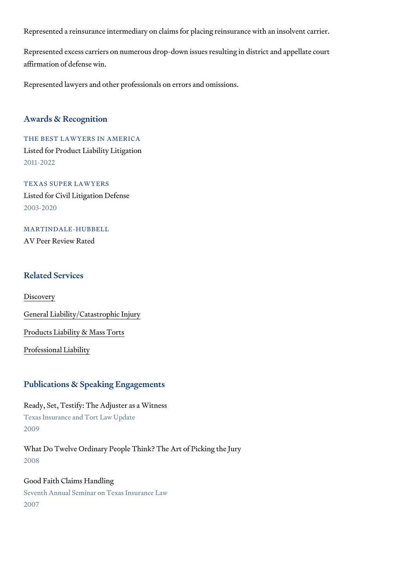Represented a reinsurance intermediary on claims for placing reinsurance

Represented excess carriers on numerous drop-down issues resulting in di affirmation of defense win.

Represented lawyers and other professionals on errors and omissions.

#### Awards & Recognition

THE BEST LAWYERS IN AMERICA Listed for Product Liability Litigation 2011-2022

TEXAS SUPER LAWYERS Listed for Civil Litigation Defense 2003-2020

MARTINDALE-HUBBELL AV Peer Review Rated

### Related Services

[Discov](https://www.thompsoncoe.com/people/david-m-taylor/)ery

[General Liability/Catas](https://www.thompsoncoe.com/people/david-m-taylor/)trophic Injury

[Products Liability &](https://www.thompsoncoe.com/people/david-m-taylor/) Mass Torts

[Professional](https://www.thompsoncoe.com/people/david-m-taylor/) Liability

#### Publications & Speaking Engagements

Ready, Set, Testify: The Adjuster as a Witness Texas Insurance and Tort Law Update 2009

What Do Twelve Ordinary People Think? The Art of Picking the Jury 2008

Good Faith Claims Handling Seventh Annual Seminar on Texas Insurance Law 2007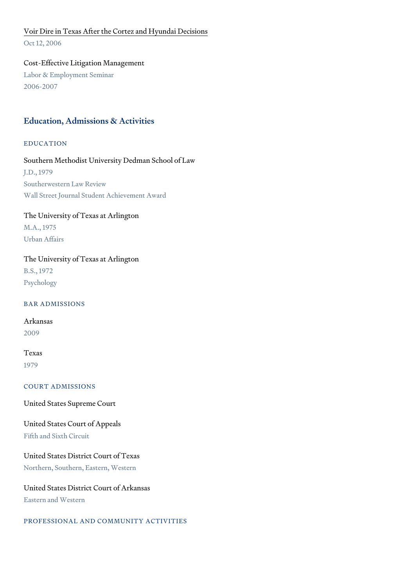## [Voir Dire in Texas After the Cortez](https://www.thompsoncoe.com/resources/publications/voir-dire-in-texas-after-the-cortez-and-hyundai-decisions/) and Hyundai Decisions

Oct 12, 2006

Cost-Effective Litigation Management Labor & Employment Seminar 2006-2007

## Education, Admissions & Activities

EDUCATION

Southern Methodist University Dedman School of Law J.D., 1979 Southerwestern Law Review Wall Street Journal Student Achievement Award

# The University of Texas at Arlington

M.A., 1975 Urban Affairs

### The University of Texas at Arlington

B.S., 1972 Psychology

BAR ADMISSIONS

Arkansas 2009

## Texas

1979

COURT ADMISSIONS

United States Supreme Court

# United States Court of Appeals

Fifth and Sixth Circuit

United States District Court of Texas Northern, Southern, Eastern, Western

United States District Court of Arkansas Eastern and Western

PROFESSIONAL AND COMMUNITY ACTIVITIES